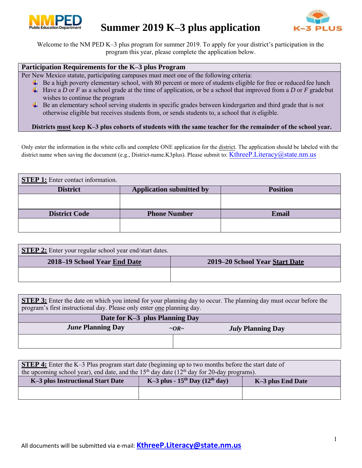

# **Summer 2019 K–3 plus application**



Welcome to the NM PED K–3 plus program for summer 2019. To apply for your district's participation in the program this year, please complete the application below.

### **Participation Requirements for the K–3 plus Program**

Per New Mexico statute, participating campuses must meet one of the following criteria:

- Be a high poverty elementary school, with 80 percent or more of students eligible for free or reduced fee lunch
- $\downarrow$  Have a *D* or *F* as a school grade at the time of application, or be a school that improved from a *D* or *F* gradebut wishes to continue the program
- Be an elementary school serving students in specific grades between kindergarten and third grade that is not otherwise eligible but receives students from, or sends students to, a school that *is* eligible.

#### **Districts must keep K–3 plus cohorts of students with the same teacher for the remainder of the school year.**

[Only enter the information in the white cells and complete ONE application fo](http://ped.state.nm.us/ped/LiteracyDocs/K-3plus/2017/K-3%20Plus%20Statute%202017.pdf)r the district. The application should be labeled with the district name when saving the document (e.g., District-name.K3plus). Please submit to: KthreeP.Literacy@state.nm.us

| <b>STEP 1:</b> Enter contact information.                             |                     |              |  |  |  |
|-----------------------------------------------------------------------|---------------------|--------------|--|--|--|
| <b>Application submitted by</b><br><b>District</b><br><b>Position</b> |                     |              |  |  |  |
|                                                                       |                     |              |  |  |  |
| <b>District Code</b>                                                  | <b>Phone Number</b> | <b>Email</b> |  |  |  |
|                                                                       |                     |              |  |  |  |

| <b>STEP 2:</b> Enter your regular school year end/start dates. |                                |
|----------------------------------------------------------------|--------------------------------|
| 2018–19 School Year End Date                                   | 2019–20 School Year Start Date |
|                                                                |                                |
|                                                                |                                |

**STEP 3:** Enter the date on which you intend for your planning day to occur. The planning day must occur before the program's first instructional day. Please only enter one planning day.

| Date for K-3 plus Planning Day                                           |  |  |  |  |
|--------------------------------------------------------------------------|--|--|--|--|
| <b>June Planning Day</b><br><i>July</i> Planning Day<br>$\sim$ OR $\sim$ |  |  |  |  |
|                                                                          |  |  |  |  |

| <b>STEP 4:</b> Enter the K-3 Plus program start date (beginning up to two months before the start date of |  |  |  |  |  |  |
|-----------------------------------------------------------------------------------------------------------|--|--|--|--|--|--|
| the upcoming school year), end date, and the $15th$ day date ( $12th$ day for 20-day programs).           |  |  |  |  |  |  |
| K-3 plus - $15^{th}$ Day $(12^{th}$ day)<br>K-3 plus Instructional Start Date<br>K-3 plus End Date        |  |  |  |  |  |  |
|                                                                                                           |  |  |  |  |  |  |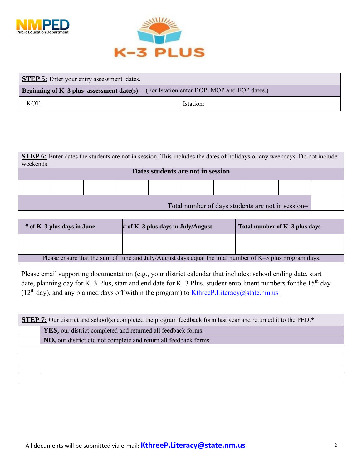

 $\mathcal{L}^{\text{max}}_{\text{max}}$  , where  $\mathcal{L}^{\text{max}}_{\text{max}}$  $\mathcal{L}^{\text{max}}_{\text{max}}$  ,  $\mathcal{L}^{\text{max}}_{\text{max}}$ 

 $\mathcal{L}^{\text{max}}_{\text{max}}$  and  $\mathcal{L}^{\text{max}}_{\text{max}}$ 



| <b>STEP 5:</b> Enter your entry assessment dates. |  |                                              |  |  |
|---------------------------------------------------|--|----------------------------------------------|--|--|
| Beginning of $K-3$ plus assessment date(s)        |  | (For Istation enter BOP, MOP and EOP dates.) |  |  |
| KOT:                                              |  | Istation:                                    |  |  |

| <b>STEP 6:</b> Enter dates the students are not in session. This includes the dates of holidays or any weekdays. Do not include<br>weekends. |  |  |  |  |  |  |  |                                                   |  |
|----------------------------------------------------------------------------------------------------------------------------------------------|--|--|--|--|--|--|--|---------------------------------------------------|--|
| Dates students are not in session                                                                                                            |  |  |  |  |  |  |  |                                                   |  |
|                                                                                                                                              |  |  |  |  |  |  |  |                                                   |  |
|                                                                                                                                              |  |  |  |  |  |  |  | Total number of days students are not in session= |  |

| # of K-3 plus days in June                                                                               | $#$ of K-3 plus days in July/August | Total number of K-3 plus days |  |  |
|----------------------------------------------------------------------------------------------------------|-------------------------------------|-------------------------------|--|--|
|                                                                                                          |                                     |                               |  |  |
| Please ensure that the sum of June and July/August days equal the total number of K-3 plus program days. |                                     |                               |  |  |

Please email supporting documentation (e.g., your district calendar that includes: school ending date, start date, planning day for K–3 Plus, start and end date for K–3 Plus, student enrollment numbers for the 15<sup>th</sup> day ( $12<sup>th</sup>$  day), and any planned days off within the program) to KthreeP. Literacy@state.nm.us .

| <b>STEP 7:</b> Our district and school(s) completed the program feedback form last year and returned it to the PED.* |  |  |  |  |
|----------------------------------------------------------------------------------------------------------------------|--|--|--|--|
| YES, our district completed and returned all feedback forms.                                                         |  |  |  |  |
| <b>NO</b> , our district did not complete and return all feedback forms.                                             |  |  |  |  |
|                                                                                                                      |  |  |  |  |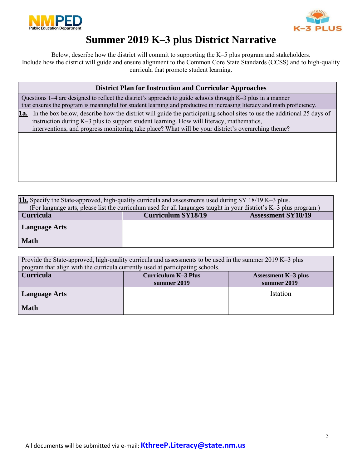



# **Summer 2019 K–3 plus District Narrative**

Below, describe how the district will commit to supporting the K–5 plus program and stakeholders. Include how the district will guide and ensure alignment to the Common Core State Standards (CCSS) and to high-quality curricula that promote student learning.

Questions 1–4 are designed to reflect the district's approach to guide schools through K–3 plus in a manner that ensures the program is meaningful for student learning and productive in increasing literacy and math proficiency.

**1a.** In the box below, describe how the district will guide the participating school sites to use the additional 25 days of instruction during K–3 plus to support student learning. How will literacy, mathematics, interventions, and progress monitoring take place? What will be your district's overarching theme?

**1b.** Specify the State-approved, high-quality curricula and assessments used during SY 18/19 K–3 plus. (For language arts, please list the curriculum used for all languages taught in your district's K–3 plus program.)<br>
Curriculum SY18/19 <br>
Assessment SY18/19 **Curriculum SY18/19 Language Arts Math**

| Provide the State-approved, high-quality curricula and assessments to be used in the summer 2019 K-3 plus<br>program that align with the curricula currently used at participating schools. |                                                          |  |  |  |  |  |
|---------------------------------------------------------------------------------------------------------------------------------------------------------------------------------------------|----------------------------------------------------------|--|--|--|--|--|
| <b>Curricula</b>                                                                                                                                                                            | <b>Curriculum K-3 Plus</b><br><b>Assessment K-3 plus</b> |  |  |  |  |  |
|                                                                                                                                                                                             | summer 2019<br>summer 2019                               |  |  |  |  |  |
| Istation<br><b>Language Arts</b>                                                                                                                                                            |                                                          |  |  |  |  |  |
| <b>Math</b>                                                                                                                                                                                 |                                                          |  |  |  |  |  |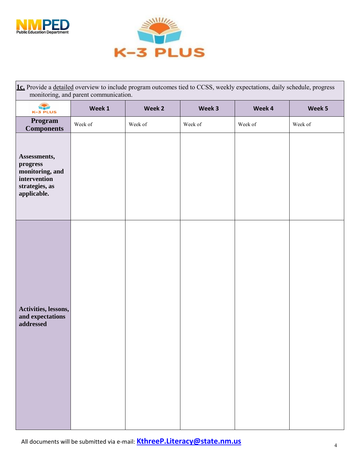



| 1c. Provide a detailed overview to include program outcomes tied to CCSS, weekly expectations, daily schedule, progress<br>monitoring, and parent communication. |         |         |         |         |         |  |  |
|------------------------------------------------------------------------------------------------------------------------------------------------------------------|---------|---------|---------|---------|---------|--|--|
| K-3 PLUS                                                                                                                                                         | Week 1  | Week 2  | Week 3  | Week 4  | Week 5  |  |  |
| Program<br><b>Components</b>                                                                                                                                     | Week of | Week of | Week of | Week of | Week of |  |  |
| Assessments,<br>progress<br>monitoring, and<br>intervention<br>strategies, as<br>applicable.                                                                     |         |         |         |         |         |  |  |
| Activities, lessons,<br>and expectations<br>addressed                                                                                                            |         |         |         |         |         |  |  |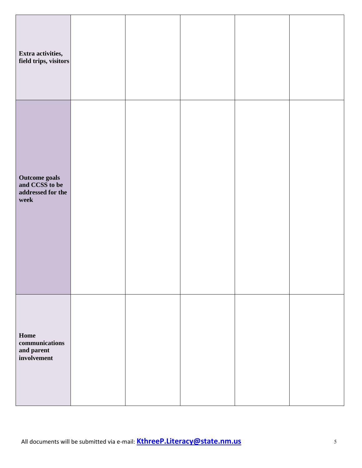| Extra activities,<br>field trips, visitors                   |  |  |  |
|--------------------------------------------------------------|--|--|--|
| Outcome goals<br>and CCSS to be<br>addressed for the<br>week |  |  |  |
| Home<br>communications<br>and parent<br>involvement          |  |  |  |